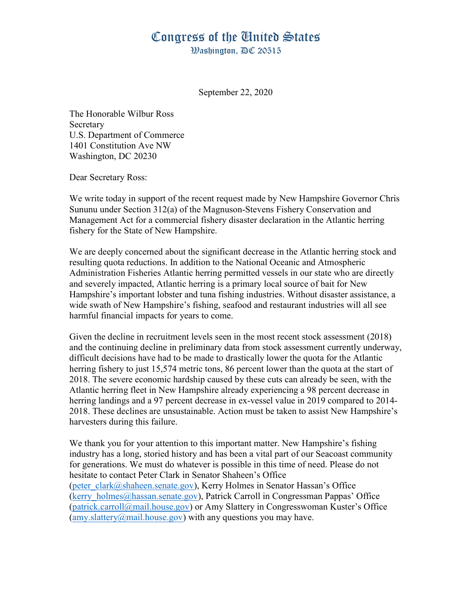## Congress of the United States

Washington, AC 20515

September 22, 2020

The Honorable Wilbur Ross Secretary U.S. Department of Commerce 1401 Constitution Ave NW Washington, DC 20230

Dear Secretary Ross:

We write today in support of the recent request made by New Hampshire Governor Chris Sununu under Section 312(a) of the Magnuson-Stevens Fishery Conservation and Management Act for a commercial fishery disaster declaration in the Atlantic herring fishery for the State of New Hampshire.

We are deeply concerned about the significant decrease in the Atlantic herring stock and resulting quota reductions. In addition to the National Oceanic and Atmospheric Administration Fisheries Atlantic herring permitted vessels in our state who are directly and severely impacted, Atlantic herring is a primary local source of bait for New Hampshire's important lobster and tuna fishing industries. Without disaster assistance, a wide swath of New Hampshire's fishing, seafood and restaurant industries will all see harmful financial impacts for years to come.

Given the decline in recruitment levels seen in the most recent stock assessment (2018) and the continuing decline in preliminary data from stock assessment currently underway, difficult decisions have had to be made to drastically lower the quota for the Atlantic herring fishery to just 15,574 metric tons, 86 percent lower than the quota at the start of 2018. The severe economic hardship caused by these cuts can already be seen, with the Atlantic herring fleet in New Hampshire already experiencing a 98 percent decrease in herring landings and a 97 percent decrease in ex-vessel value in 2019 compared to 2014- 2018. These declines are unsustainable. Action must be taken to assist New Hampshire's harvesters during this failure.

We thank you for your attention to this important matter. New Hampshire's fishing industry has a long, storied history and has been a vital part of our Seacoast community for generations. We must do whatever is possible in this time of need. Please do not hesitate to contact Peter Clark in Senator Shaheen's Office (peter\_clark@shaheen.senate.gov), Kerry Holmes in Senator Hassan's Office (kerry\_holmes@hassan.senate.gov), Patrick Carroll in Congressman Pappas' Office (patrick.carroll@mail.house.gov) or Amy Slattery in Congresswoman Kuster's Office  $(amy.slattery@mail.house.gov)$  with any questions you may have.